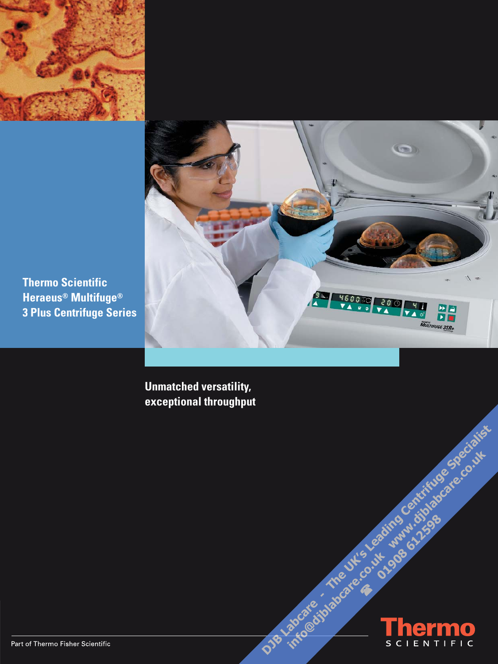



**Thermo Scientific Heraeus<sup>®</sup> Multifuge<sup>®</sup> 3 Plus Centrifuge Series** 

> **Unmatched versatility,** exceptional throughput

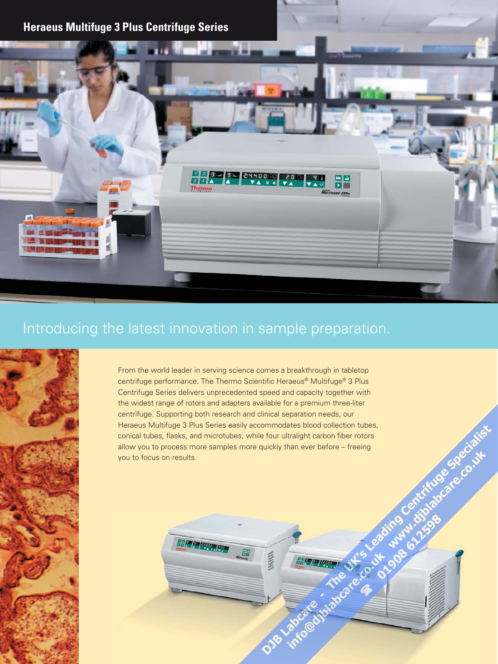

# Introducing the latest innovation in sample preparation.

**SEP PERMIT ROOM** 



From the world leader in serving science comes a breakthrough in tabletop centrifuge performance. The Thermo Scientific Heraeus® Multifuge® 3 Plus Centrifuge Series delivers unprecedented speed and capacity together with the widest range of rotors and adapters available for a premium three-liter centrifuge. Supporting both research and clinical separation needs, our Heraeus Multifuge 3 Plus Series easily accommodates blood collection tubes, conical tubes, flasks, and microtubes, while four ultralight carbon fiber rotors allow you to process more samples more quickly than ever before – freeing you to focus on results.

 $\frac{\partial \eta}{\partial \mathbf{R}}$ 

 $\hat{\bm{\diamond}}$  $\ddot{\textbf{v}}$ 

靈靈

Lakocate

〃

**HAPPER** 

into catalogue

Tre

**SHIS Le** 

4

**50.01** 

ading Ce

**@Quinomia**<br>Baimana (212596

**Attitude** 

May of trifuso care

SPe

Craigs

**.00.14**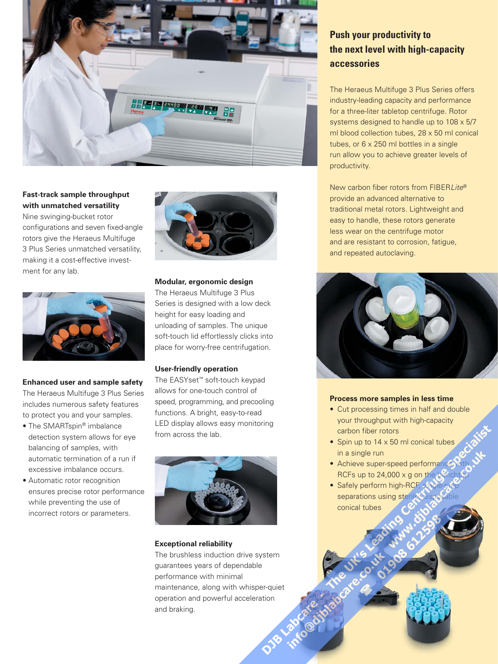

### **Fast-track sample throughput with unmatched versatility** Nine swinging-bucket rotor configurations and seven fixed-angle rotors give the Heraeus Multifuge 3 Plus Series unmatched versatility, making it a cost-effective invest-

ment for any lab.



#### **Enhanced user and sample safety**

The Heraeus Multifuge 3 Plus Series includes numerous safety features to protect you and your samples.

- The SMARTspin® imbalance detection system allows for eye balancing of samples, with automatic termination of a run if excessive imbalance occurs.
- Automatic rotor recognition ensures precise rotor performance while preventing the use of incorrect rotors or parameters.



#### **Modular, ergonomic design**

The Heraeus Multifuge 3 Plus Series is designed with a low deck height for easy loading and unloading of samples. The unique soft-touch lid effortlessly clicks into place for worry-free centrifugation.

#### **User-friendly operation**

The EASYset™ soft-touch keypad allows for one-touch control of speed, programming, and precooling functions. A bright, easy-to-read LED display allows easy monitoring from across the lab.



#### **Exceptional reliability**

The brushless induction drive system guarantees years of dependable performance with minimal maintenance, along with whisper-quiet operation and powerful acceleration and braking. Laboate

 $\hat{\bm{\diamond}}$  $\ddot{\textbf{v}}$  ₽

into a cities a facer

The

Ulisle

4

S . J+

## **Push your productivity to the next level with high-capacity accessories**

The Heraeus Multifuge 3 Plus Series offers industry-leading capacity and performance for a three-liter tabletop centrifuge. Rotor systems designed to handle up to 108 x 5/7 ml blood collection tubes, 28 x 50 ml conical tubes, or 6 x 250 ml bottles in a single run allow you to achieve greater levels of productivity.

New carbon fiber rotors from FIBERLite® provide an advanced alternative to traditional metal rotors. Lightweight and easy to handle, these rotors generate less wear on the centrifuge motor and are resistant to corrosion, fatigue, and repeated autoclaving.



#### **Process more samples in less time**

• Cut processing times in half and double your throughput with high-capacity carbon fiber rotors Craigs

**Stiron & Blog** 

**2013** 

- Spin up to 14 x 50 ml conical tubes in a single run
- Achieve super-speed performance **SPRIT**
- RCFs up to 24,000 x g on the benchtop<br>Safely perform high-RCF, stricle-step<br>separations using sterile bisposable • Safely perform high-RCF, stagleseparations using sterile, disposable conical tubes adimo Ce Number 2019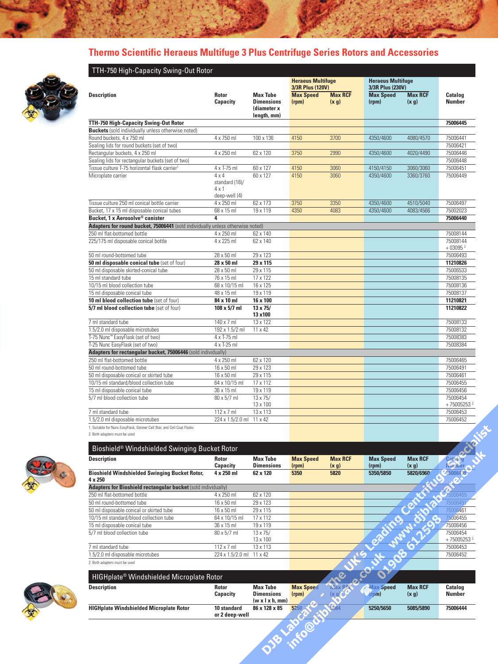# **Thermo Scientific Heraeus Multifuge 3 Plus Centrifuge Series Rotors and Accessories**



|                                                                                                          |                                                |                                                                    | <b>Heraeus Multifuge</b><br>3/3R Plus (120V) |                          | <b>Heraeus Multifuge</b><br>3/3R Plus (230V) |                          |                           |
|----------------------------------------------------------------------------------------------------------|------------------------------------------------|--------------------------------------------------------------------|----------------------------------------------|--------------------------|----------------------------------------------|--------------------------|---------------------------|
| <b>Description</b>                                                                                       | <b>Rotor</b><br>Capacity                       | <b>Max Tube</b><br><b>Dimensions</b><br>(diameter x<br>length, mm) | <b>Max Speed</b><br>(rpm)                    | <b>Max RCF</b><br>(x, g) | <b>Max Speed</b><br>(rpm)                    | <b>Max RCF</b><br>(x, g) | Catalog<br><b>Number</b>  |
| TTH-750 High-Capacity Swing-Out Rotor                                                                    |                                                |                                                                    |                                              |                          |                                              |                          | 75006445                  |
| <b>Buckets</b> (sold individually unless otherwise noted)                                                |                                                |                                                                    |                                              |                          |                                              |                          |                           |
| Round buckets, 4 x 750 ml                                                                                | 4 x 750 ml                                     | 100 x 136                                                          | 4150                                         | 3700                     | 4350/4600                                    | 4080/4570                | 75006441                  |
| Sealing lids for round buckets (set of two)                                                              |                                                |                                                                    |                                              |                          |                                              |                          | 75006421                  |
| Rectangular buckets, 4 x 250 ml                                                                          | 4 x 250 ml                                     | 62 x 120                                                           | 3750                                         | 2990                     | 4350/4600                                    | 4020/4490                | 75006446                  |
| Sealing lids for rectangular buckets (set of two)                                                        |                                                |                                                                    |                                              |                          |                                              |                          | 75006448                  |
| Tissue culture T-75 horizontal flask carrier <sup>1</sup>                                                | 4 x T-75 ml                                    | 60 x 127                                                           | 4150                                         | 3060                     | 4150/4150                                    | 3060/3060                | 75006451                  |
| Microplate carrier                                                                                       | $4 \times 4$<br>standard (16)/<br>$4 \times 1$ | 60 x 127                                                           | 4150                                         | 3060                     | 4350/4600                                    | 3360/3760                | 75006449                  |
|                                                                                                          | deep-well (4)                                  |                                                                    |                                              |                          |                                              |                          |                           |
| Tissue culture 250 ml conical bottle carrier<br>Bucket, 17 x 15 ml disposable conical tubes              | 4 x 250 ml<br>68 x 15 ml                       | 62 x 173<br>19 x 119                                               | 3750<br>4350                                 | 3350<br>4083             | 4350/4600<br>4350/4600                       | 4510/5040<br>4083/4566   | 75006497<br>75002023      |
| Bucket, 1 x Aerosolve® canister                                                                          | 4                                              |                                                                    |                                              |                          |                                              |                          | 75006440                  |
| Adapters for round bucket, 75006441 (sold individually unless otherwise noted)                           |                                                |                                                                    |                                              |                          |                                              |                          |                           |
| 250 ml flat-bottomed bottle                                                                              | 4 x 250 ml                                     | 62 x 140                                                           |                                              |                          |                                              |                          | 75008144                  |
| 225/175 ml disposable conical bottle                                                                     | 4 x 225 ml                                     | 62 x 140                                                           |                                              |                          |                                              |                          | 75008144                  |
|                                                                                                          |                                                |                                                                    |                                              |                          |                                              |                          | $+030952$                 |
| 50 ml round-bottomed tube                                                                                | 28 x 50 ml                                     | 29 x 123                                                           |                                              |                          |                                              |                          | 75006493                  |
| 50 ml disposable conical tube (set of four)                                                              | 28 x 50 ml                                     | 29 x 115                                                           |                                              |                          |                                              |                          | 11210826                  |
| 50 ml disposable skirted-conical tube                                                                    | 28 x 50 ml                                     | 29 x 115                                                           |                                              |                          |                                              |                          | 75006533                  |
| 15 ml standard tube                                                                                      | 76 x 15 ml                                     | 17 x 122                                                           |                                              |                          |                                              |                          | 75008135                  |
| 10/15 ml blood collection tube                                                                           | 68 x 10/15 ml                                  | 16 x 125                                                           |                                              |                          |                                              |                          | 75008136                  |
| 15 ml disposable conical tube                                                                            | 48 x 15 ml                                     | 19 x 119                                                           |                                              |                          |                                              |                          | 75008137                  |
| 10 ml blood collection tube (set of four)                                                                | 84 x 10 ml                                     | 16 x 100                                                           |                                              |                          |                                              |                          | 11210821                  |
| 5/7 ml blood collection tube (set of four)                                                               | $108 \times 5/7$ ml                            | 13 x 75/<br>13 x100                                                |                                              |                          |                                              |                          | 11210822                  |
| 7 ml standard tube                                                                                       | 140 x 7 ml                                     | 13 x 122                                                           |                                              |                          |                                              |                          | 75008133                  |
| 1.5/2.0 ml disposable microtubes                                                                         | 192 x 1.5/2 ml                                 | 11 x 42                                                            |                                              |                          |                                              |                          | 75008132<br>75008383      |
| T-75 Nunc™ EasyFlask (set of two)<br>T-25 Nunc EasyFlask (set of two)                                    | 4 x T-75 ml<br>4 x T-25 ml                     |                                                                    |                                              |                          |                                              |                          | 75008384                  |
| Adapters for rectangular bucket, 75006446 (sold individually)                                            |                                                |                                                                    |                                              |                          |                                              |                          |                           |
| 250 ml flat-bottomed bottle                                                                              | 4 x 250 ml                                     | 62 x 120                                                           |                                              |                          |                                              |                          | 75006465                  |
| 50 ml round-bottomed tube                                                                                | 16 x 50 ml                                     | 29 x 123                                                           |                                              |                          |                                              |                          | 75006491                  |
| 50 ml disposable conical or skirted tube                                                                 | 16 x 50 ml                                     | 29 x 115                                                           |                                              |                          |                                              |                          | 75006461                  |
| 10/15 ml standard/blood collection tube                                                                  | 64 x 10/15 ml                                  | 17 x 112                                                           |                                              |                          |                                              |                          | 75006455                  |
| 15 ml disposable conical tube                                                                            | 36 x 15 ml                                     | 19 x 119                                                           |                                              |                          |                                              |                          | 75006456                  |
| 5/7 ml blood collection tube                                                                             | 80 x 5/7 ml                                    | $13 \times 75/$                                                    |                                              |                          |                                              |                          | 75006454                  |
|                                                                                                          |                                                | 13 x 100                                                           |                                              |                          |                                              |                          | +750052532                |
| 7 ml standard tube                                                                                       | $112 \times 7$ ml                              | 13 x 113                                                           |                                              |                          |                                              |                          | 75006453                  |
| 1.5/2.0 ml disposable microtubes                                                                         | 224 x 1.5/2.0 ml                               | 11 x 42                                                            |                                              |                          |                                              |                          | 75006452                  |
| 1. Suitable for Nunc EasyFlask, Greiner Cell Star, and Cell Coat Flasks<br>2. Both adapters must be used |                                                |                                                                    |                                              |                          |                                              |                          |                           |
| Bioshield® Windshielded Swinging Bucket Rotor                                                            |                                                |                                                                    |                                              |                          |                                              |                          |                           |
| <b>Description</b>                                                                                       | <b>Rotor</b>                                   | <b>Max Tube</b>                                                    | <b>Max Speed</b>                             | <b>Max RCF</b>           | <b>Max Speed</b>                             | <b>Max RCF</b>           | Catalog                   |
| <b>Bioshield Windshielded Swinging Bucket Rotor,</b>                                                     | Capacity<br>4 x 250 ml                         | <b>Dimensions</b><br>62 x 120                                      | (rpm)<br>5350                                | (x g)<br>5820            | (rpm)<br>5350/5850                           | (x g)<br>5820/6960       | <b>Number</b><br>45006435 |
| 4 x 250                                                                                                  |                                                |                                                                    |                                              |                          |                                              |                          | Ø                         |
| Adapters for Bioshield rectangular bucket (sold individually)<br>250 ml flat-bottomed bottle             | 4 x 250 ml                                     | 62 x 120                                                           |                                              |                          |                                              |                          | 75006465                  |
| 50 ml round-bottomed tube                                                                                | 16 x 50 ml                                     | 29 x 123                                                           |                                              |                          |                                              |                          | 75006491                  |
| 50 ml disposable conical or skirted tube                                                                 | 16 x 50 ml                                     | 29 x 115                                                           |                                              |                          |                                              |                          | 75006461                  |
| 10/15 ml standard/blood collection tube                                                                  | 64 x 10/15 ml                                  | 17 x 112                                                           |                                              |                          |                                              |                          | 75006455                  |
| 15 ml disposable conical tube                                                                            | 36 x 15 ml                                     | 19 x 119                                                           |                                              |                          |                                              |                          | 75006456                  |
|                                                                                                          | 80 x 5/7 ml                                    | 13 x 75/                                                           |                                              |                          |                                              |                          | 75006454                  |
|                                                                                                          |                                                |                                                                    |                                              |                          |                                              |                          |                           |
| 5/7 ml blood collection tube                                                                             |                                                |                                                                    |                                              |                          |                                              |                          |                           |
| 7 ml standard tube                                                                                       | 112 x 7 ml                                     | 13 x 100<br>13 x 113                                               |                                              |                          |                                              |                          | +750052532<br>75006453    |
| 1.5/2.0 ml disposable microtubes                                                                         | 224 x 1.5/2.0 ml                               | 11 x 42                                                            |                                              |                          | <b>SILE SOUTHAMPTON</b>                      |                          | 75006452                  |



| <b>HIGHplate<sup>®</sup></b> Windshielded Microplate Rotor |                               |                                                                            |                           |               |                          |                         |                          |
|------------------------------------------------------------|-------------------------------|----------------------------------------------------------------------------|---------------------------|---------------|--------------------------|-------------------------|--------------------------|
| <b>Description</b>                                         | <b>Rotor</b><br>Capacity      | <b>Max Tube</b><br><b>Dimensions</b><br>$(w \times l \times h, \text{mm})$ | <b>Max Speed</b><br>(rpm) | <b>Nav RC</b> | <b>Max Speed</b><br>rpm) | <b>Max RCF</b><br>(x g) | Catalog<br><b>Number</b> |
| <b>HIGHplate Windshielded Microplate Rotor</b>             | 10 standard<br>or 2 deep-well | 86 x 128 x 85                                                              | 5250                      | 6084          | 5250/5650                | 5085/5890               | 75006444                 |
|                                                            |                               |                                                                            |                           |               |                          |                         |                          |

 $\overline{\bullet}$  $\ddot{\textbf{v}}$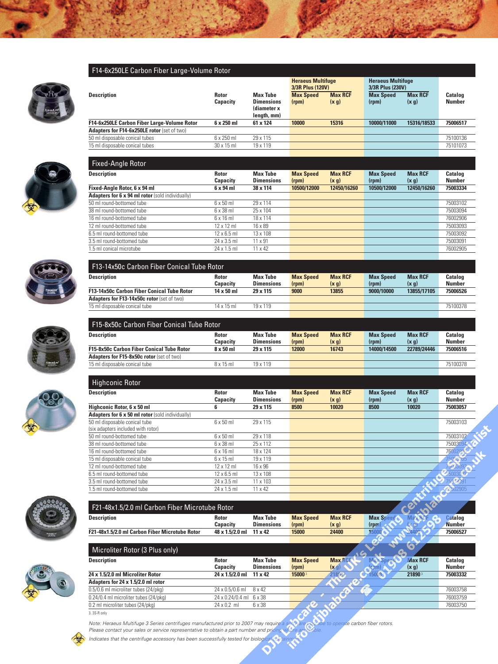#### F14-6x250LE Carbon Fiber Large-Volume Rotor

F13-14x50c Carbon Fiber Conical Tube Rotor

**Adapters for F13-14x50c rotor** (set of two)



|                                             |                          |                                                                    | <b>Heraeus Multifuge</b><br>3/3R Plus (120V) |                          | <b>Heraeus Multifuge</b><br>3/3R Plus (230V) |                          |                                 |  |
|---------------------------------------------|--------------------------|--------------------------------------------------------------------|----------------------------------------------|--------------------------|----------------------------------------------|--------------------------|---------------------------------|--|
| <b>Description</b>                          | <b>Rotor</b><br>Capacity | <b>Max Tube</b><br><b>Dimensions</b><br>(diameter x<br>length, mm) | <b>Max Speed</b><br>(rpm)                    | <b>Max RCF</b><br>(x, g) | <b>Max Speed</b><br>(rpm)                    | <b>Max RCF</b><br>(x, g) | <b>Catalog</b><br><b>Number</b> |  |
| F14-6x250LE Carbon Fiber Large-Volume Rotor | $6 \times 250$ ml        | 61 x 124                                                           | 10000                                        | 15316                    | 10000/11000                                  | 15316/18533              | 75006517                        |  |
| Adapters for F14-6x250LE rotor (set of two) |                          |                                                                    |                                              |                          |                                              |                          |                                 |  |
| 50 ml disposable conical tubes              | 6 x 250 ml               | 29 x 115                                                           |                                              |                          |                                              |                          | 75100136                        |  |
| 15 ml disposable conical tubes              | $30 \times 15$ ml        | 19 x 119                                                           |                                              |                          |                                              |                          | 75101073                        |  |



| <b>Catalog</b><br><b>Number</b> |
|---------------------------------|
|                                 |
| 75003334                        |
|                                 |
| 75003102                        |
| 75003094                        |
| 76002906                        |
| 75003093                        |
| 75003092                        |
| 75003091                        |
| 76002905                        |
| 12450/16260                     |









**Description Rotor Max Tube Max Speed Max RCF Max Speed Max RCF Catalog** 

**F13-14x50c Carbon Fiber Conical Tube Rotor 14 x 50 ml 29 x 115 9000 13855 9000/10000 13855/17105 75006526**

Capacity Dimensions (rpm) (x g) (rpm) (x g) Number

| <b>Description</b>                                                  | <b>Rotor</b><br>Capacity | <b>Max Tube</b><br><b>Dimensions</b> | <b>Max Speed</b><br>(rpm) | <b>Max RCF</b><br>(x, g) | <b>Max Speed</b><br>(rpm) | <b>Max RCF</b><br>(x, g) | Catalog<br><b>Number</b> |
|---------------------------------------------------------------------|--------------------------|--------------------------------------|---------------------------|--------------------------|---------------------------|--------------------------|--------------------------|
| Highconic Rotor, 6 x 50 ml                                          | 6                        | 29 x 115                             | 8500                      | 10020                    | 8500                      | 10020                    | 75003057                 |
| Adapters for 6 x 50 ml rotor (sold individually)                    |                          |                                      |                           |                          |                           |                          |                          |
| 50 ml disposable conical tube<br>(six adapters included with rotor) | $6 \times 50$ ml         | 29 x 115                             |                           |                          |                           |                          | 75003103                 |
| 50 ml round-bottomed tube                                           | $6 \times 50$ ml         | 29 x 118                             |                           |                          |                           |                          | 75003102                 |
| 38 ml round-bottomed tube                                           | $6 \times 38$ ml         | 25 x 112                             |                           |                          |                           |                          | 7500309                  |
| 16 ml round-bottomed tube                                           | $6 \times 16$ m          | 18 x 124                             |                           |                          |                           |                          | 7600290                  |
| 15 ml disposable conical tube                                       | $6 \times 15$ m          | 19 x 119                             |                           |                          |                           |                          | 750030                   |
| 12 ml round-bottomed tube                                           | $12 \times 12$ ml        | 16 x 96                              |                           |                          |                           |                          | 500309                   |
| 6.5 ml round-bottomed tube                                          | $12 \times 6.5$ ml       | 13 x 108                             |                           |                          |                           |                          | 75003092                 |
| 3.5 ml round-bottomed tube                                          | 24 x 3.5 ml              | 11 x 103                             |                           |                          |                           |                          | 75003091                 |
| 1.5 ml round-bottomed tube                                          | $24 \times 1.5$ ml       | $11 \times 42$                       |                           |                          |                           |                          | 76002905                 |
|                                                                     |                          |                                      |                           |                          |                           |                          |                          |
| F21-48x1.5/2.0 ml Carbon Fiber Microtube Rotor                      |                          |                                      |                           |                          |                           |                          |                          |
| <b>Description</b>                                                  | <b>Rotor</b><br>Capacity | <b>Max Tube</b><br><b>Dimensions</b> | <b>Max Speed</b><br>(rpm) | <b>Max RCF</b><br>(x, g) | <b>Max Speed</b><br>(rpm) | Max RCI                  | Catalog<br><b>Number</b> |
| F21-48x1.5/2.0 ml Carbon Fiber Microtube Rotor                      | 48 x 1.5/2.0 ml          | 11 x 42                              | 15000                     | 24400                    | 15000                     |                          | 75006527                 |

 $\bm{\hat{\diamond}}$ E





| Microliter Rotor (3 Plus only)        |                                      |                                      |                           |                            |        |                         |                          |
|---------------------------------------|--------------------------------------|--------------------------------------|---------------------------|----------------------------|--------|-------------------------|--------------------------|
| <b>Description</b>                    | <b>Rotor</b><br>Capacity             | <b>Max Tube</b><br><b>Dimensions</b> | <b>Max Speed</b><br>(rpm) | Max <sub>R</sub><br>(x, q) |        | <b>Max RCF</b><br>(x g) | Catalog<br><b>Number</b> |
| 24 x 1.5/2.0 ml Microliter Rotor      | 24 x 1.5/2.0 ml 11 x 42              |                                      | 15000 <sup>3</sup>        | 218987                     | 150003 | 21890 <sup>3</sup>      | 75003332                 |
| Adapters for 24 x 1.5/2.0 ml rotor    |                                      |                                      |                           |                            |        |                         |                          |
| 0.5/0.6 ml microliter tubes (24/pkg)  | $24 \times 0.5/0.6$ ml $8 \times 42$ |                                      |                           |                            |        |                         | 76003758                 |
| 0.24/0.4 ml microliter tubes (24/pkg) | 24 x 0.24/0.4 ml 6 x 38              |                                      |                           |                            |        |                         | 76003759                 |
| 0.2 ml microliter tubes (24/pkg)      | $24 \times 0.2$ ml                   | 6 x 38                               | Ø                         |                            |        |                         | 76003750                 |

Note: Heraeus Multifuge 3 Series centrifuges manufactured prior to 2007 may require a software used to operate carbon fiber rotors. Please contact your sales or service representative to obtain a part number and pric 

ence and contract of the contract of the contract of the contract of the carbon carbon carbon carbon carbon carbon carbon carbon carbon carbon carbon carbon carbon carbon carbon carbon carbon carbon carbon carbon carbon ca

**CALLS MON** 

**x Speed & Max RCF**<br> **MAX RCF AND AX RCF**<br>
CO AND AX RCF<br>
AND AX RCF<br>
AND AX RCF<br>
AND AND AND AND AX RCF<br>
218903

Indicates that the centrifuge accessory has been successfully tested for biologic

 $\overline{0.2 \text{ ml microliter tubes} (24/\text{pkg})}$ 

3. 3S-R only